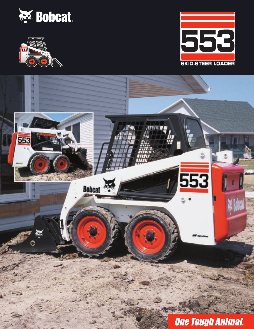